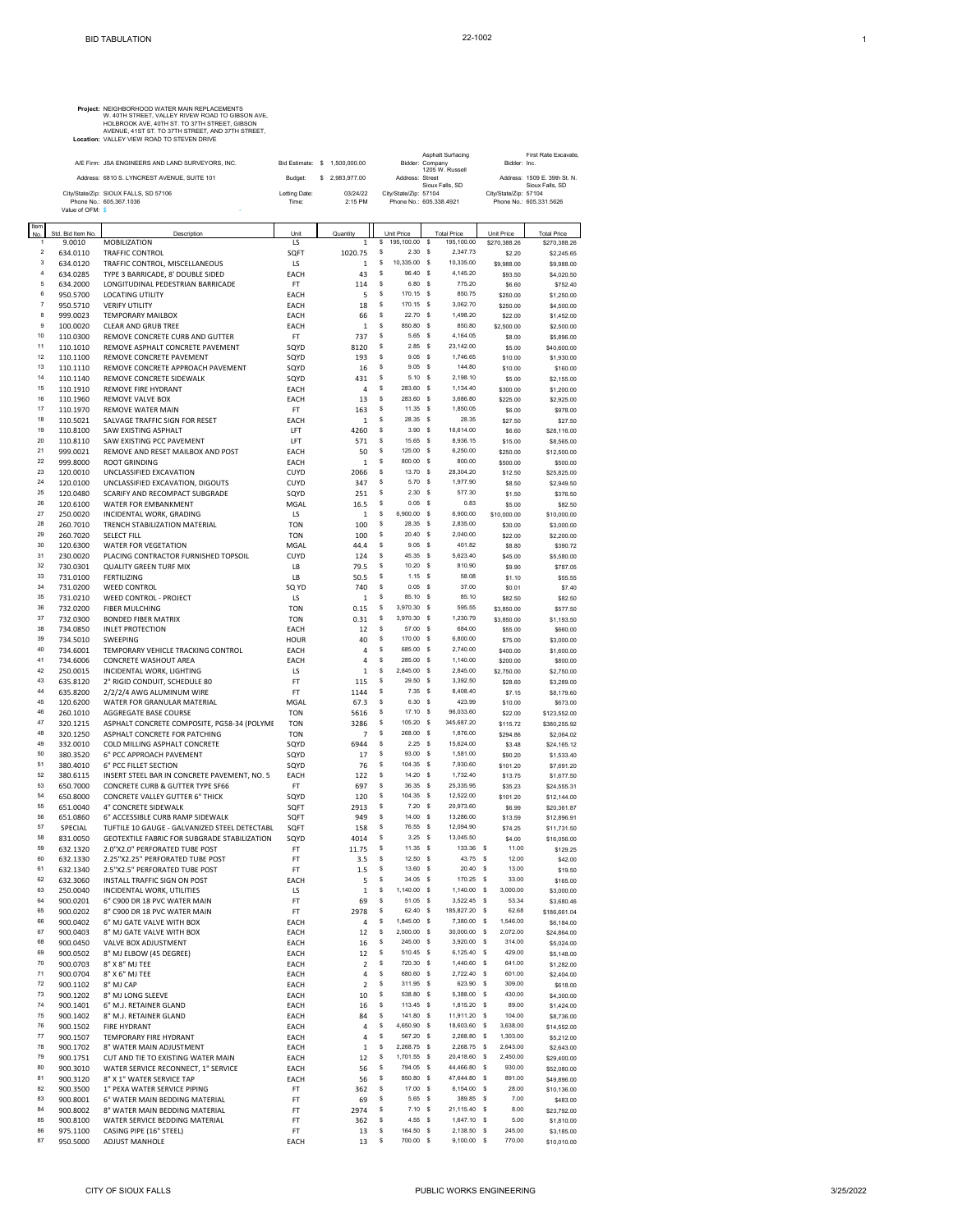**Location:**

**Project:** NEIGHBORHOOD WATER MAIN REPLACEMENTS W. 40TH STREET, VALLEY RIVEW ROAD TO GIBSON AVE,<br>HOLBROOK AVE, 40TH ST. TO 37TH STREET, GIBSON<br>AVENUE, 41ST ST. TO 37TH STREET, AND 37TH STREET,<br>VALLEY VIEW ROAD TO STEVEN DRIVE

| A/E Firm: JSA ENGINEERS AND LAND SURVEYORS. INC. | Bid Estimate: | -S | 1.500.000.00 |                       | Asphalt Surfacing<br>Bidder: Company<br>1205 W Russell | Bidder: Inc.          | First Rate Excavate.                         |
|--------------------------------------------------|---------------|----|--------------|-----------------------|--------------------------------------------------------|-----------------------|----------------------------------------------|
| Address: 6810 S. LYNCREST AVENUE. SUITE 101      | Budget:       |    | 2.983.977.00 | Address: Street       | Sioux Falls, SD                                        |                       | Address: 1509 F 39th St N<br>Sioux Falls, SD |
| City/State/Zip: SIOUX FALLS, SD 57106            | Letting Date: |    | 03/24/22     | City/State/Zip: 57104 |                                                        | City/State/Zip: 57104 |                                              |
| Phone No : 605 367 1036                          | Time:         |    | $2.15$ PM    |                       | Phone No : 605 338 4921                                |                       | Phone No : 605 331 5626                      |
| Value of OFM: S                                  |               |    |              |                       |                                                        |                       |                                              |

| Item             |                      |                                               |                    |                |    |             |              |                    |                        |                    |
|------------------|----------------------|-----------------------------------------------|--------------------|----------------|----|-------------|--------------|--------------------|------------------------|--------------------|
| No.              | Std. Bid Item No     | Description                                   | Unit               | Quantity       |    | Unit Price  |              | <b>Total Price</b> | Unit Price             | <b>Total Price</b> |
| 1                | 9.0010               | MOBILIZATION                                  | LS                 | 1              | \$ | 195.100.00  | s            | 195,100.00         | \$270,388.26           | \$270,388.26       |
| $\boldsymbol{2}$ | 634.0110             | <b>TRAFFIC CONTROL</b>                        | SQFT               | 1020.75        | \$ | 2.30        | s            | 2,347.73           | \$2.20                 | \$2,245.65         |
| 3                | 634.0120             | TRAFFIC CONTROL, MISCELLANEOUS                | LS                 | 1              | s  | 10.335.00   | s            | 10.335.00          | \$9,988.00             | \$9,988.00         |
| $\overline{4}$   | 634.0285             | TYPE 3 BARRICADE, 8' DOUBLE SIDED             | EACH               | 43             | \$ | 96.40       | s            | 4,145.20           | \$93.50                | \$4,020.50         |
| 5                | 634.2000             | LONGITUDINAL PEDESTRIAN BARRICADE             | FT                 | 114            | \$ | 6.80        | s            | 775.20             | \$6.60                 | \$752.40           |
| 6                | 950.5700             | <b>LOCATING UTILITY</b>                       | EACH               | 5              | \$ | 170.15      | $\mathbf{s}$ | 850.75             | \$250.00               | \$1,250.00         |
| $\overline{7}$   | 950.5710             | <b>VERIFY UTILITY</b>                         | EACH               | 18             | \$ | 170.15      | s            | 3.062.70           | \$250.00               | \$4,500.00         |
| 8                | 999.0023             | <b>TEMPORARY MAILBOX</b>                      | EACH               | 66             | \$ | 22.70       | s            | 1,498.20           | \$22.00                | \$1,452.00         |
| 9                | 100.0020             | CLEAR AND GRUB TREE                           | EACH               | 1              | s  | 850.80      | s            | 850.80             | \$2,500.00             | \$2,500.00         |
| 10               | 110.0300             | REMOVE CONCRETE CURB AND GUTTER               | FT                 | 737            | \$ | 5.65        | s            | 4,164.05           | \$8.00                 | \$5,896.00         |
| 11               | 110.1010             | REMOVE ASPHALT CONCRETE PAVEMENT              | SQYD               | 8120           | \$ | 2.85        | s            | 23,142.00          | \$5.00                 | \$40,600.00        |
| 12               | 110.1100             | REMOVE CONCRETE PAVEMENT                      | SQYD               | 193            | \$ | 9.05        | s            | 1.746.65           | \$10.00                | \$1,930.00         |
| 13               | 110.1110             | REMOVE CONCRETE APPROACH PAVEMENT             | SQYD               | 16             | \$ | 9.05        | s            | 144.80             | \$10.00                | \$160.00           |
| 14               | 110.1140             | REMOVE CONCRETE SIDEWALK                      | SQYD               | 431            | \$ | 5.10        | $\mathbf{s}$ | 2.198.10           | \$5.00                 | \$2,155.00         |
| 15               | 110.1910             | REMOVE FIRE HYDRANT                           | <b>FACH</b>        | 4              | s  | 283.60      | s            | 1,134.40           | \$300.00               | \$1,200.00         |
| 16               | 110.1960             | <b>REMOVE VALVE BOX</b>                       | EACH               | 13             | \$ | 283.60      | $\mathbf{s}$ | 3,686.80           | \$225.00               | \$2,925.00         |
| 17               | 110.1970             | <b>REMOVE WATER MAIN</b>                      | <b>FT</b>          | 163            | s  | 11.35       | s            | 1,850.05           | \$6.00                 | \$978.00           |
| 18               | 110.5021             | SALVAGE TRAFFIC SIGN FOR RESET                | EACH               | 1              | \$ | 28.35       | s            | 28.35              | \$27.50                | \$27.50            |
| 19               | 110.8100             | SAW EXISTING ASPHALT                          | <b>IFT</b>         | 4260           | \$ | 3.90        | s            | 16,614.00          | \$6.60                 | \$28,116.00        |
| 20               | 110.8110             | SAW EXISTING PCC PAVEMENT                     | LFT                | 571            | s  | 15.65       | s            | 8 936 15           | \$15.00                |                    |
| 21               | 999.0021             |                                               | <b>FACH</b>        | 50             | \$ | 125.00      | s            | 6,250.00           |                        | \$8,565.00         |
| 22               |                      | REMOVE AND RESET MAILBOX AND POST             |                    | 1              | s  | 800.00      | s            | 800.00             | \$250.00               | \$12,500.00        |
| 23               | 999.8000             | <b>ROOT GRINDING</b>                          | EACH               |                |    |             |              |                    | \$500.00               | \$500.00           |
|                  | 120.0010             | UNCLASSIFIED EXCAVATION                       | CUYD               | 2066           | \$ | 13.70       | \$           | 28,304.20          | \$12.50                | \$25,825.00        |
| 24               | 120.0100             | UNCLASSIFIED EXCAVATION, DIGOUTS              | CUYD               | 347            | s  | 5.70        | s            | 1.977.90           | \$8.50                 | \$2,949.50         |
| 25               | 120.0480             | SCARIFY AND RECOMPACT SUBGRADE                | SQYD               | 251            | \$ | 2.30        | s            | 577.30             | \$1.50                 | \$376.50           |
| 26               | 120,6100             | WATER FOR EMBANKMENT                          | MGAL               | 16.5           | s  | 0.05        | s            | 0.83               | \$5.00                 | \$82.50            |
| 27               | 250.0020             | INCIDENTAL WORK, GRADING                      | LS                 | $\mathbf 1$    | \$ | 6,900.00    | s            | 6,900.00           | \$10,000.00            | \$10,000.00        |
| 28               | 260,7010             | TRENCH STABILIZATION MATERIAL                 | <b>TON</b>         | 100            | \$ | 28.35       | s            | 2.835.00           | \$30.00                | \$3,000.00         |
| 29               | 260.7020             | SELECT FILL                                   | <b>TON</b>         | 100            | \$ | 20.40       | s            | 2,040.00           | \$22.00                | \$2,200.00         |
| 30               | 120.6300             | WATER FOR VEGETATION                          | MGAL               | 44.4           | s  | 9.05        | s            | 401.82             | \$8.80                 | \$390.72           |
| 31               | 230.0020             | PLACING CONTRACTOR FURNISHED TOPSOIL          | CUYD               | 124            | \$ | 45.35       | s            | 5,623.40           | \$45.00                | \$5,580.00         |
| 32               | 730.0301             | <b>QUALITY GREEN TURF MIX</b>                 | LB                 | 79.5           | s  | 10.20       | s            | 810.90             | \$9.90                 | \$787.05           |
| 33               | 731.0100             | <b>FERTILIZING</b>                            | LB                 | 50.5           | \$ | 1.15        | s            | 58.08              | \$1.10                 | \$55.55            |
| 34               | 731.0200             | <b>WEED CONTROL</b>                           | SQ YD              | 740            | \$ | 0.05        | s            | 37.00              | \$0.01                 | \$7.40             |
| 35               | 731.0210             | <b>WEED CONTROL - PROJECT</b>                 | LS                 | $\mathbf{1}$   | \$ | 85.10       | $\mathbf{s}$ | 85.10              | \$82.50                | \$82.50            |
| 36               | 732.0200             | <b>FIBER MULCHING</b>                         | <b>TON</b>         | 0.15           | \$ | 3,970.30    | s            | 595.55             | \$3,850.00             | \$577.50           |
| 37               | 732.0300             | <b>BONDED FIBER MATRIX</b>                    | <b>TON</b>         | 0.31           | \$ | 3.970.30    | s            | 1,230.79           | \$3,850.00             | \$1,193.50         |
| 38               | 734 0850             | <b>INLET PROTECTION</b>                       | <b>FACH</b>        | 12             | \$ | 57.00       | s            | 684.00             | \$55.00                | \$660.00           |
| 39               | 734.5010             | SWEEPING                                      | <b>HOUR</b>        | 40             | \$ | 170.00      | $\mathbf{s}$ | 6,800.00           | \$75.00                | \$3,000.00         |
| 40               | 734.6001             | TEMPORARY VEHICLE TRACKING CONTROL            | <b>FACH</b>        | 4              | s  | 685.00      | s            | 2 740 00           | \$400.00               | \$1,600.00         |
| 41               | 734.6006             | CONCRETE WASHOUT AREA                         | EACH               | 4              | s  | 285.00      | s            | 1,140.00           | \$200.00               | \$800.00           |
| 42               | 250.0015             | INCIDENTAL WORK, LIGHTING                     | LS                 | 1              | s  | 2,845.00    | s            | 2,845.00           | \$2,750.00             | \$2,750.00         |
| 43               | 635.8120             | 2" RIGID CONDUIT, SCHEDULE 80                 | FT                 | 115            | \$ | 29.50       | $\mathbf{s}$ | 3,392.50           | \$28.60                |                    |
| 44               | 635.8200             |                                               | FT                 | 1144           | \$ | 7.35        | s            | 8.408.40           |                        | \$3,289.00         |
| 45               |                      | 2/2/2/4 AWG ALUMINUM WIRE                     |                    |                | \$ | 6.30        | s            | 423.99             | \$7.15                 | \$8,179.60         |
| 46               | 120.6200<br>260.1010 | WATER FOR GRANULAR MATERIAL                   | MGAL<br><b>TON</b> | 67.3           | \$ | 17.10       | s            | 96.033.60          | \$10.00                | \$673.00           |
| 47               |                      | AGGREGATE BASE COURSE                         |                    | 5616           | s  | 105.20      | s            | 345,687.20         | \$22.00                | \$123,552.00       |
| 48               | 320.1215             | ASPHALT CONCRETE COMPOSITE, PG58-34 (POLYME   | <b>TON</b>         | 3286           |    |             | s            |                    | \$115.72               | \$380,255.92       |
|                  | 320.1250             | ASPHALT CONCRETE FOR PATCHING                 | <b>TON</b>         | $\overline{7}$ | \$ | 268.00      |              | 1,876.00           | \$294.86               | \$2,064.02         |
| 49               | 332.0010             | COLD MILLING ASPHALT CONCRETE                 | SQYD               | 6944           | s  | 2.25        | s            | 15.624.00          | \$3.48                 | \$24,165.12        |
| 50               | 380.3520             | 6" PCC APPROACH PAVEMENT                      | SQYD               | 17             | \$ | 93.00       | s            | 1,581.00           | \$90.20                | \$1,533.40         |
| 51               | 380.4010             | 6" PCC FILLET SECTION                         | SQYD               | 76             | s  | 104.35      | s            | 7.930.60           | \$101.20               | \$7,691.20         |
| 52               | 380.6115             | INSERT STEEL BAR IN CONCRETE PAVEMENT, NO. 5  | EACH               | 122            | \$ | 14.20       | s            | 1,732.40           | \$13.75                | \$1,677.50         |
| 53               | 650.7000             | CONCRETE CURB & GUTTER TYPE SF66              | FT                 | 697            | s  | 36.35       | s            | 25.335.95          | \$35.23                | \$24,555.31        |
| 54               | 650.8000             | CONCRETE VALLEY GUTTER 6" THICK               | SQYD               | 120            | \$ | 104.35      | s            | 12,522.00          | \$101.20               | \$12,144.00        |
| 55               | 651.0040             | 4" CONCRETE SIDEWALK                          | SQFT               | 2913           | s  | 7.20        | s            | 20.973.60          | \$6.99                 | \$20,361.87        |
| 56               | 651.0860             | 6" ACCESSIBLE CURB RAMP SIDEWALK              | SQFT               | 949            | \$ | 14.00       | s            | 13,286.00          | \$13.59                | \$12,896.91        |
| 57               | SPECIAL              | TUFTILE 10 GAUGE - GALVANIZED STEEL DETECTABL | SQFT               | 158            | s  | 76.55       | s            | 12.094.90          | \$74.25                | \$11,731.50        |
| 58               | 831.0050             | GEOTEXTILE FABRIC FOR SUBGRADE STABILIZATION  | SQYD               | 4014           | \$ | 3.25        | s            | 13,045.50          | \$4.00                 | \$16,056.00        |
| 59               | 632.1320             | 2.0"X2.0" PERFORATED TUBE POST                | FT                 | 11.75          | s  | 11.35       | s            | 133.36             | - \$<br>11.00          | \$129.25           |
| 60               | 632.1330             | 2.25"X2.25" PERFORATED TUBE POST              | FT                 | 3.5            | \$ | 12.50       | \$           | 43.75              | 12.00<br>\$            | \$42.00            |
| 61               | 632.1340             | 2.5"X2.5" PERFORATED TUBE POST                | <b>FT</b>          | 1.5            | \$ | 13.60       | s            | 20.40              | \$<br>13.00            | \$19.50            |
| 62               | 632.3060             | INSTALL TRAFFIC SIGN ON POST                  | EACH               | 5              | \$ | 34.05       | - S          | 170.25             | \$<br>33.00            | \$165.00           |
| 63               | 250.0040             | INCIDENTAL WORK, UTILITIES                    | LS                 | $\mathbf{1}$   | \$ | 1.140.00    | s            | 1,140.00           | \$<br>3,000.00         | \$3,000.00         |
| 64               | 900.0201             | 6" C900 DR 18 PVC WATER MAIN                  | FT                 | 69             | \$ | 51.05       | $\mathbf{s}$ | 3.522.45           | -S<br>53.34            | \$3,680.46         |
| 65               | 900.0202             | 8" C900 DR 18 PVC WATER MAIN                  | FT.                | 2978           | Ś  | 62.40       | s            | 185,827.20         | \$<br>62.68            | \$186,661.04       |
| 66               | 900.0402             | 6" MJ GATE VALVE WITH BOX                     | EACH               | 4              | \$ | 1,845.00 \$ |              | 7,380.00           | \$<br>1,546.00         | \$6,184.00         |
| 67               | 900.0403             | 8" MJ GATE VALVE WITH BOX                     | EACH               | 12             | \$ | 2,500.00 \$ |              | 30,000.00 \$       | 2,072.00               | \$24,864.00        |
| 68               | 900.0450             | VALVE BOX ADJUSTMENT                          | EACH               | 16             | \$ | 245.00 \$   |              | 3,920.00 \$        | 314.00                 | \$5,024.00         |
| 69               | 900.0502             | 8" MJ ELBOW (45 DEGREE)                       | EACH               | 12             | s  | 510.45 \$   |              | 6,125.40           | $\mathbf{s}$<br>429.00 | \$5,148.00         |
| 70               | 900.0703             | 8" X 8" MJ TEE                                | EACH               | $\overline{2}$ | \$ | 720.30 S    |              | 1,440.60 \$        | 641.00                 | \$1,282.00         |
| 71               |                      |                                               |                    | $\overline{4}$ | \$ | 680.60 \$   |              | 2,722.40           | $\mathbf{s}$<br>601.00 |                    |
| 72               | 900.0704             | 8" X 6" MJ TEE                                | EACH               |                | \$ | 311.95 \$   |              | 623.90 \$          | 309.00                 | \$2,404.00         |
|                  | 900.1102             | 8" MJ CAP                                     | EACH               | 2              |    |             |              |                    |                        | \$618.00           |
| 73               | 900.1202             | 8" MJ LONG SLEEVE                             | EACH               | 10             | s  | 538.80 \$   |              | 5,388.00           | $\mathbf{s}$<br>430.00 | \$4,300.00         |
| 74               | 900.1401             | 6" M.J. RETAINER GLAND                        | EACH               | 16             | \$ | 113.45 \$   |              | 1,815.20 \$        | 89.00                  | \$1,424.00         |
| 75               | 900.1402             | 8" M.J. RETAINER GLAND                        | EACH               | 84             | \$ | 141.80 \$   |              | 11,911.20          | 104.00<br>\$           | \$8,736.00         |
| 76               | 900.1502             | <b>FIRE HYDRANT</b>                           | EACH               | 4              | s  | 4.650.90 \$ |              | 18,603.60 \$       | 3.638.00               | \$14,552.00        |
| 77               | 900.1507             | TEMPORARY FIRE HYDRANT                        | EACH               | $\overline{4}$ | \$ | 567.20 \$   |              | 2,268.80 \$        | 1,303.00               | \$5,212.00         |
| 78               | 900.1702             | 8" WATER MAIN ADJUSTMENT                      | EACH               | $\mathbf{1}$   | s  | 2.268.75 \$ |              | 2.268.75           | 2.643.00<br>- \$       | \$2,643.00         |
| 79               | 900.1751             | CUT AND TIE TO EXISTING WATER MAIN            | EACH               | 12             | \$ | 1,701.55 \$ |              | 20,418.60          | 2,450.00<br>\$         | \$29,400.00        |
| 80               | 900.3010             | WATER SERVICE RECONNECT, 1" SERVICE           | EACH               | 56             | s  | 794.05 \$   |              | 44,466.80 \$       | 930.00                 | \$52,080.00        |
| 81               | 900.3120             | 8" X 1" WATER SERVICE TAP                     | EACH               | 56             | \$ | 850.80 \$   |              | 47,644.80          | \$<br>891.00           | \$49,896.00        |
| 82               | 900.3500             | 1" PEXA WATER SERVICE PIPING                  | FT                 | 362            | s  | 17.00 S     |              | 6,154.00           | 28.00<br>- \$          | \$10,136.00        |
| 83               | 900.8001             | 6" WATER MAIN BEDDING MATERIAL                | FT                 | 69             | \$ | 5.65S       |              | 389.85             | 7.00<br>\$             | \$483.00           |
| 84               | 900.8002             | 8" WATER MAIN BEDDING MATERIAL                | FT                 | 2974           | s  | 710S        |              | 21.115.40 \$       | 8.00                   | \$23,792.00        |
| 85               | 900.8100             | WATER SERVICE BEDDING MATERIAL                | FT                 | 362            | \$ | 4.55S       |              | 1,647.10 \$        | 5.00                   | \$1,810.00         |
| 86               | 975.1100             | CASING PIPE (16" STEEL)                       | FT                 | 13             | \$ | 164.50 \$   |              | $2.138.50$ \$      | 245.00                 | \$3,185.00         |
| 87               | 950.5000             | ADJUST MANHOLE                                | EACH               | 13             | \$ | 700.00 \$   |              | 9,100.00           | 770.00<br>\$           | \$10,010.00        |
|                  |                      |                                               |                    |                |    |             |              |                    |                        |                    |